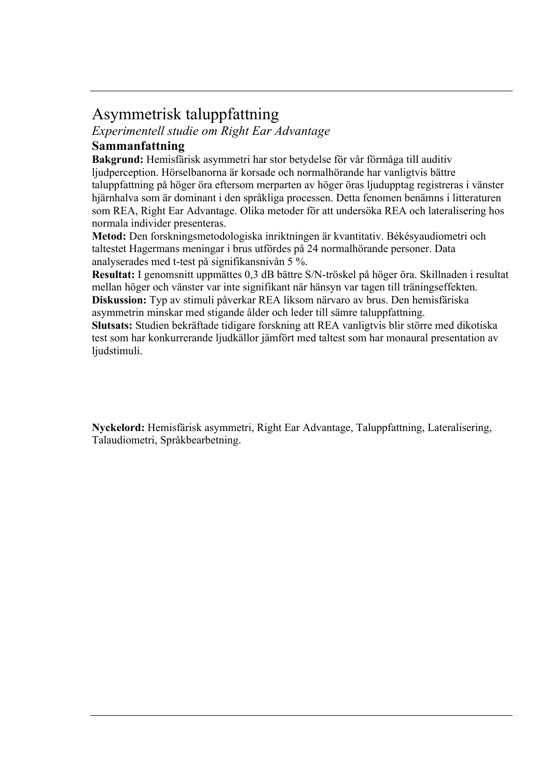## Asymmetrisk taluppfattning

*Experimentell studie om Right Ear Advantage*

## **Sammanfattning**

**Bakgrund:** Hemisfärisk asymmetri har stor betydelse för vår förmåga till auditiv ljudperception. Hörselbanorna är korsade och normalhörande har vanligtvis bättre taluppfattning på höger öra eftersom merparten av höger öras ljudupptag registreras i vänster hjärnhalva som är dominant i den språkliga processen. Detta fenomen benämns i litteraturen som REA, Right Ear Advantage. Olika metoder för att undersöka REA och lateralisering hos normala individer presenteras.

**Metod:** Den forskningsmetodologiska inriktningen är kvantitativ. Békésyaudiometri och taltestet Hagermans meningar i brus utfördes på 24 normalhörande personer. Data analyserades med t-test på signifikansnivån 5 %.

**Resultat:** I genomsnitt uppmättes 0,3 dB bättre S/N-tröskel på höger öra. Skillnaden i resultat mellan höger och vänster var inte signifikant när hänsyn var tagen till träningseffekten. **Diskussion:** Typ av stimuli påverkar REA liksom närvaro av brus. Den hemisfäriska asymmetrin minskar med stigande ålder och leder till sämre taluppfattning.

**Slutsats:** Studien bekräftade tidigare forskning att REA vanligtvis blir större med dikotiska test som har konkurrerande ljudkällor jämfört med taltest som har monaural presentation av ljudstimuli.

**Nyckelord:** Hemisfärisk asymmetri, Right Ear Advantage, Taluppfattning, Lateralisering, Talaudiometri, Språkbearbetning.